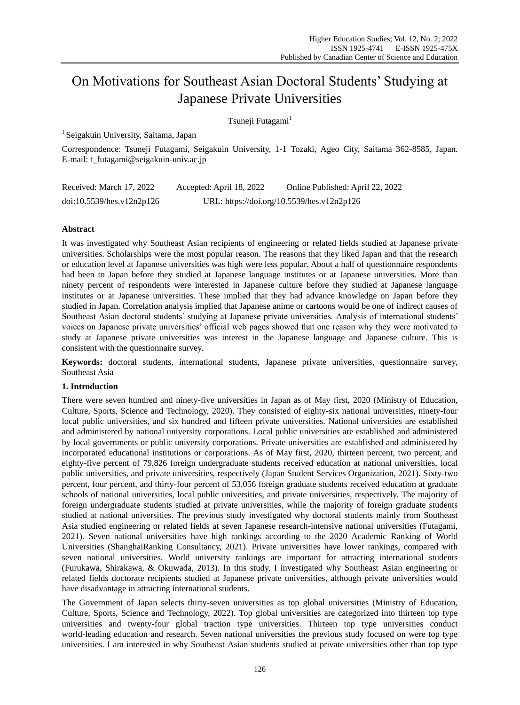# On Motivations for Southeast Asian Doctoral Students' Studying at Japanese Private Universities

Tsuneji Futagami<sup>1</sup>

<sup>1</sup> Seigakuin University, Saitama, Japan

Correspondence: Tsuneji Futagami, Seigakuin University, 1-1 Tozaki, Ageo City, Saitama 362-8585, Japan. E-mail: t\_futagami@seigakuin-univ.ac.jp

| Received: March 17, 2022  | Accepted: April 18, 2022 | Online Published: April 22, 2022           |
|---------------------------|--------------------------|--------------------------------------------|
| doi:10.5539/hes.v12n2p126 |                          | URL: https://doi.org/10.5539/hes.v12n2p126 |

# **Abstract**

It was investigated why Southeast Asian recipients of engineering or related fields studied at Japanese private universities. Scholarships were the most popular reason. The reasons that they liked Japan and that the research or education level at Japanese universities was high were less popular. About a half of questionnaire respondents had been to Japan before they studied at Japanese language institutes or at Japanese universities. More than ninety percent of respondents were interested in Japanese culture before they studied at Japanese language institutes or at Japanese universities. These implied that they had advance knowledge on Japan before they studied in Japan. Correlation analysis implied that Japanese anime or cartoons would be one of indirect causes of Southeast Asian doctoral students' studying at Japanese private universities. Analysis of international students' voices on Japanese private universities' official web pages showed that one reason why they were motivated to study at Japanese private universities was interest in the Japanese language and Japanese culture. This is consistent with the questionnaire survey.

**Keywords:** doctoral students, international students, Japanese private universities, questionnaire survey, Southeast Asia

# **1. Introduction**

There were seven hundred and ninety-five universities in Japan as of May first, 2020 (Ministry of Education, Culture, Sports, Science and Technology, 2020). They consisted of eighty-six national universities, ninety-four local public universities, and six hundred and fifteen private universities. National universities are established and administered by national university corporations. Local public universities are established and administered by local governments or public university corporations. Private universities are established and administered by incorporated educational institutions or corporations. As of May first, 2020, thirteen percent, two percent, and eighty-five percent of 79,826 foreign undergraduate students received education at national universities, local public universities, and private universities, respectively (Japan Student Services Organization, 2021). Sixty-two percent, four percent, and thirty-four percent of 53,056 foreign graduate students received education at graduate schools of national universities, local public universities, and private universities, respectively. The majority of foreign undergraduate students studied at private universities, while the majority of foreign graduate students studied at national universities. The previous study investigated why doctoral students mainly from Southeast Asia studied engineering or related fields at seven Japanese research-intensive national universities (Futagami, 2021). Seven national universities have high rankings according to the 2020 Academic Ranking of World Universities (ShanghaiRanking Consultancy, 2021). Private universities have lower rankings, compared with seven national universities. World university rankings are important for attracting international students (Furukawa, Shirakawa, & Okuwada, 2013). In this study, I investigated why Southeast Asian engineering or related fields doctorate recipients studied at Japanese private universities, although private universities would have disadvantage in attracting international students.

The Government of Japan selects thirty-seven universities as top global universities (Ministry of Education, Culture, Sports, Science and Technology, 2022). Top global universities are categorized into thirteen top type universities and twenty-four global traction type universities. Thirteen top type universities conduct world-leading education and research. Seven national universities the previous study focused on were top type universities. I am interested in why Southeast Asian students studied at private universities other than top type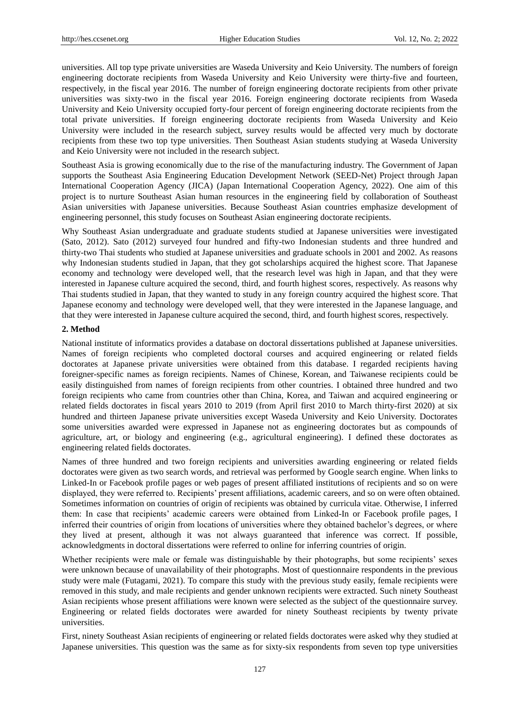universities. All top type private universities are Waseda University and Keio University. The numbers of foreign engineering doctorate recipients from Waseda University and Keio University were thirty-five and fourteen, respectively, in the fiscal year 2016. The number of foreign engineering doctorate recipients from other private universities was sixty-two in the fiscal year 2016. Foreign engineering doctorate recipients from Waseda University and Keio University occupied forty-four percent of foreign engineering doctorate recipients from the total private universities. If foreign engineering doctorate recipients from Waseda University and Keio University were included in the research subject, survey results would be affected very much by doctorate recipients from these two top type universities. Then Southeast Asian students studying at Waseda University and Keio University were not included in the research subject.

Southeast Asia is growing economically due to the rise of the manufacturing industry. The Government of Japan supports the Southeast Asia Engineering Education Development Network (SEED-Net) Project through Japan International Cooperation Agency (JICA) (Japan International Cooperation Agency, 2022). One aim of this project is to nurture Southeast Asian human resources in the engineering field by collaboration of Southeast Asian universities with Japanese universities. Because Southeast Asian countries emphasize development of engineering personnel, this study focuses on Southeast Asian engineering doctorate recipients.

Why Southeast Asian undergraduate and graduate students studied at Japanese universities were investigated (Sato, 2012). Sato (2012) surveyed four hundred and fifty-two Indonesian students and three hundred and thirty-two Thai students who studied at Japanese universities and graduate schools in 2001 and 2002. As reasons why Indonesian students studied in Japan, that they got scholarships acquired the highest score. That Japanese economy and technology were developed well, that the research level was high in Japan, and that they were interested in Japanese culture acquired the second, third, and fourth highest scores, respectively. As reasons why Thai students studied in Japan, that they wanted to study in any foreign country acquired the highest score. That Japanese economy and technology were developed well, that they were interested in the Japanese language, and that they were interested in Japanese culture acquired the second, third, and fourth highest scores, respectively.

## **2. Method**

National institute of informatics provides a database on doctoral dissertations published at Japanese universities. Names of foreign recipients who completed doctoral courses and acquired engineering or related fields doctorates at Japanese private universities were obtained from this database. I regarded recipients having foreigner-specific names as foreign recipients. Names of Chinese, Korean, and Taiwanese recipients could be easily distinguished from names of foreign recipients from other countries. I obtained three hundred and two foreign recipients who came from countries other than China, Korea, and Taiwan and acquired engineering or related fields doctorates in fiscal years 2010 to 2019 (from April first 2010 to March thirty-first 2020) at six hundred and thirteen Japanese private universities except Waseda University and Keio University. Doctorates some universities awarded were expressed in Japanese not as engineering doctorates but as compounds of agriculture, art, or biology and engineering (e.g., agricultural engineering). I defined these doctorates as engineering related fields doctorates.

Names of three hundred and two foreign recipients and universities awarding engineering or related fields doctorates were given as two search words, and retrieval was performed by Google search engine. When links to Linked-In or Facebook profile pages or web pages of present affiliated institutions of recipients and so on were displayed, they were referred to. Recipients' present affiliations, academic careers, and so on were often obtained. Sometimes information on countries of origin of recipients was obtained by curricula vitae. Otherwise, I inferred them: In case that recipients' academic careers were obtained from Linked-In or Facebook profile pages, I inferred their countries of origin from locations of universities where they obtained bachelor's degrees, or where they lived at present, although it was not always guaranteed that inference was correct. If possible, acknowledgments in doctoral dissertations were referred to online for inferring countries of origin.

Whether recipients were male or female was distinguishable by their photographs, but some recipients' sexes were unknown because of unavailability of their photographs. Most of questionnaire respondents in the previous study were male (Futagami, 2021). To compare this study with the previous study easily, female recipients were removed in this study, and male recipients and gender unknown recipients were extracted. Such ninety Southeast Asian recipients whose present affiliations were known were selected as the subject of the questionnaire survey. Engineering or related fields doctorates were awarded for ninety Southeast recipients by twenty private universities.

First, ninety Southeast Asian recipients of engineering or related fields doctorates were asked why they studied at Japanese universities. This question was the same as for sixty-six respondents from seven top type universities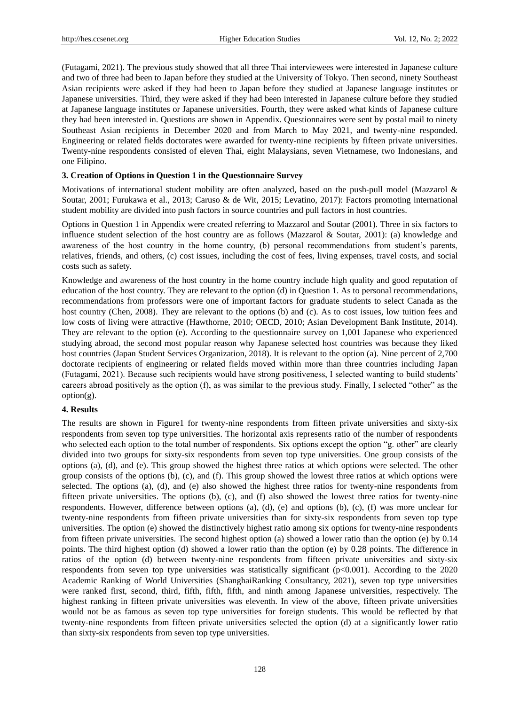(Futagami, 2021). The previous study showed that all three Thai interviewees were interested in Japanese culture and two of three had been to Japan before they studied at the University of Tokyo. Then second, ninety Southeast Asian recipients were asked if they had been to Japan before they studied at Japanese language institutes or Japanese universities. Third, they were asked if they had been interested in Japanese culture before they studied at Japanese language institutes or Japanese universities. Fourth, they were asked what kinds of Japanese culture they had been interested in. Questions are shown in Appendix. Questionnaires were sent by postal mail to ninety Southeast Asian recipients in December 2020 and from March to May 2021, and twenty-nine responded. Engineering or related fields doctorates were awarded for twenty-nine recipients by fifteen private universities. Twenty-nine respondents consisted of eleven Thai, eight Malaysians, seven Vietnamese, two Indonesians, and one Filipino.

## **3. Creation of Options in Question 1 in the Questionnaire Survey**

Motivations of international student mobility are often analyzed, based on the push-pull model (Mazzarol & Soutar, 2001; Furukawa et al., 2013; Caruso & de Wit, 2015; Levatino, 2017): Factors promoting international student mobility are divided into push factors in source countries and pull factors in host countries.

Options in Question 1 in Appendix were created referring to Mazzarol and Soutar (2001). Three in six factors to influence student selection of the host country are as follows (Mazzarol & Soutar, 2001): (a) knowledge and awareness of the host country in the home country, (b) personal recommendations from student's parents, relatives, friends, and others, (c) cost issues, including the cost of fees, living expenses, travel costs, and social costs such as safety.

Knowledge and awareness of the host country in the home country include high quality and good reputation of education of the host country. They are relevant to the option (d) in Question 1. As to personal recommendations, recommendations from professors were one of important factors for graduate students to select Canada as the host country (Chen, 2008). They are relevant to the options (b) and (c). As to cost issues, low tuition fees and low costs of living were attractive (Hawthorne, 2010; OECD, 2010; Asian Development Bank Institute, 2014). They are relevant to the option (e). According to the questionnaire survey on 1,001 Japanese who experienced studying abroad, the second most popular reason why Japanese selected host countries was because they liked host countries (Japan Student Services Organization, 2018). It is relevant to the option (a). Nine percent of 2,700 doctorate recipients of engineering or related fields moved within more than three countries including Japan (Futagami, 2021). Because such recipients would have strong positiveness, I selected wanting to build students' careers abroad positively as the option (f), as was similar to the previous study. Finally, I selected "other" as the option(g).

# **4. Results**

The results are shown in Figure1 for twenty-nine respondents from fifteen private universities and sixty-six respondents from seven top type universities. The horizontal axis represents ratio of the number of respondents who selected each option to the total number of respondents. Six options except the option "g. other" are clearly divided into two groups for sixty-six respondents from seven top type universities. One group consists of the options (a), (d), and (e). This group showed the highest three ratios at which options were selected. The other group consists of the options (b), (c), and (f). This group showed the lowest three ratios at which options were selected. The options (a), (d), and (e) also showed the highest three ratios for twenty-nine respondents from fifteen private universities. The options (b), (c), and (f) also showed the lowest three ratios for twenty-nine respondents. However, difference between options (a), (d), (e) and options (b), (c), (f) was more unclear for twenty-nine respondents from fifteen private universities than for sixty-six respondents from seven top type universities. The option (e) showed the distinctively highest ratio among six options for twenty-nine respondents from fifteen private universities. The second highest option (a) showed a lower ratio than the option (e) by 0.14 points. The third highest option (d) showed a lower ratio than the option (e) by 0.28 points. The difference in ratios of the option (d) between twenty-nine respondents from fifteen private universities and sixty-six respondents from seven top type universities was statistically significant (p<0.001). According to the 2020 Academic Ranking of World Universities (ShanghaiRanking Consultancy, 2021), seven top type universities were ranked first, second, third, fifth, fifth, fifth, and ninth among Japanese universities, respectively. The highest ranking in fifteen private universities was eleventh. In view of the above, fifteen private universities would not be as famous as seven top type universities for foreign students. This would be reflected by that twenty-nine respondents from fifteen private universities selected the option (d) at a significantly lower ratio than sixty-six respondents from seven top type universities.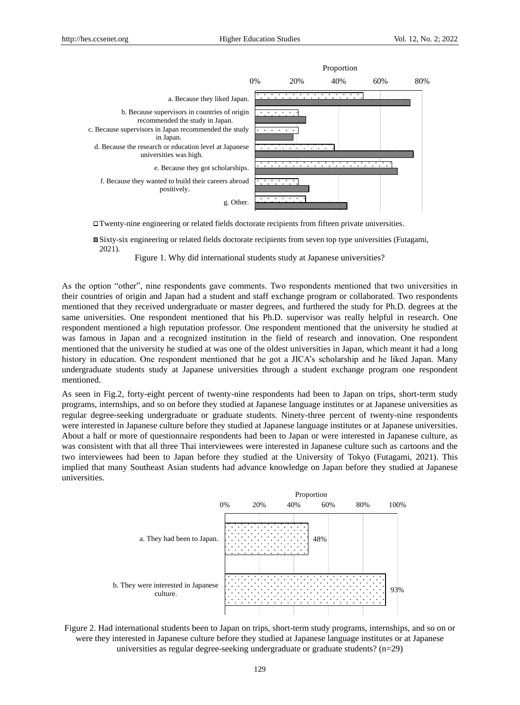

Twenty-nine engineering or related fields doctorate recipients from fifteen private universities.

Sixty-six engineering or related fields doctorate recipients from seven top type universities (Futagami, 2021).

Figure 1. Why did international students study at Japanese universities?

As the option "other", nine respondents gave comments. Two respondents mentioned that two universities in their countries of origin and Japan had a student and staff exchange program or collaborated. Two respondents mentioned that they received undergraduate or master degrees, and furthered the study for Ph.D. degrees at the same universities. One respondent mentioned that his Ph.D. supervisor was really helpful in research. One respondent mentioned a high reputation professor. One respondent mentioned that the university he studied at was famous in Japan and a recognized institution in the field of research and innovation. One respondent mentioned that the university he studied at was one of the oldest universities in Japan, which meant it had a long history in education. One respondent mentioned that he got a JICA's scholarship and he liked Japan. Many undergraduate students study at Japanese universities through a student exchange program one respondent mentioned.

As seen in Fig.2, forty-eight percent of twenty-nine respondents had been to Japan on trips, short-term study programs, internships, and so on before they studied at Japanese language institutes or at Japanese universities as regular degree-seeking undergraduate or graduate students. Ninety-three percent of twenty-nine respondents were interested in Japanese culture before they studied at Japanese language institutes or at Japanese universities. About a half or more of questionnaire respondents had been to Japan or were interested in Japanese culture, as was consistent with that all three Thai interviewees were interested in Japanese culture such as cartoons and the two interviewees had been to Japan before they studied at the University of Tokyo (Futagami, 2021). This internships, and soon to tapan strong may because at the embedding or renjoint and sorry internal interest. universities. thany southeast Asian students had advance knowledge on Japan before they still



Figure 2. Had international students been to Japan on trips, short-term study programs, internships, and so on or were they interested in Japanese culture before they studied at Japanese language institutes or at Japanese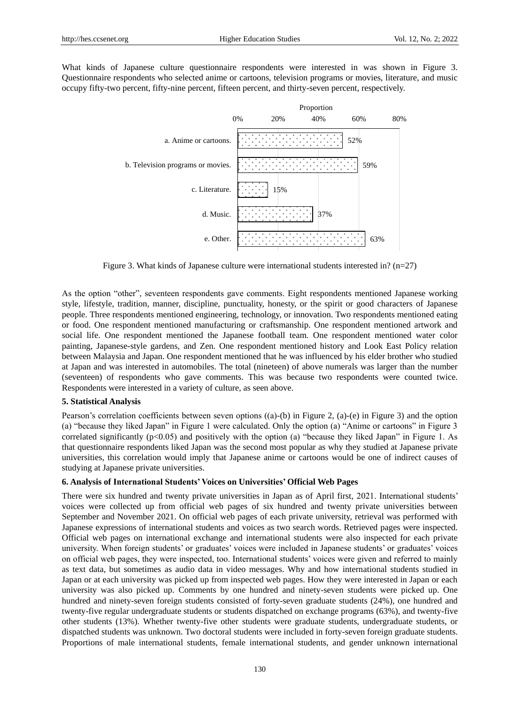What kinds of Japanese culture questionnaire respondents were interested in was shown in Figure 3. Questionnaire respondents who selected anime or cartoons, television programs or movies, literature, and music occupy fifty-two percent, fifty-nine percent, fifteen percent, and thirty-seven percent, respectively.



Figure 3. What kinds of Japanese culture were international students interested in? (n=27)

As the option "other", seventeen respondents gave comments. Eight respondents mentioned Japanese working style, lifestyle, tradition, manner, discipline, punctuality, honesty, or the spirit or good characters of Japanese people. Three respondents mentioned engineering, technology, or innovation. Two respondents mentioned eating or food. One respondent mentioned manufacturing or craftsmanship. One respondent mentioned artwork and social life. One respondent mentioned the Japanese football team. One respondent mentioned water color painting, Japanese-style gardens, and Zen. One respondent mentioned history and Look East Policy relation between Malaysia and Japan. One respondent mentioned that he was influenced by his elder brother who studied at Japan and was interested in automobiles. The total (nineteen) of above numerals was larger than the number (seventeen) of respondents who gave comments. This was because two respondents were counted twice. Respondents were interested in a variety of culture, as seen above.

#### **5. Statistical Analysis**

Pearson's correlation coefficients between seven options ((a)-(b) in Figure 2, (a)-(e) in Figure 3) and the option (a) "because they liked Japan" in Figure 1 were calculated. Only the option (a) "Anime or cartoons" in Figure 3 correlated significantly  $(p<0.05)$  and positively with the option (a) "because they liked Japan" in Figure 1. As that questionnaire respondents liked Japan was the second most popular as why they studied at Japanese private universities, this correlation would imply that Japanese anime or cartoons would be one of indirect causes of studying at Japanese private universities.

#### **6. Analysis of International Students' Voices on Universities' Official Web Pages**

There were six hundred and twenty private universities in Japan as of April first, 2021. International students' voices were collected up from official web pages of six hundred and twenty private universities between September and November 2021. On official web pages of each private university, retrieval was performed with Japanese expressions of international students and voices as two search words. Retrieved pages were inspected. Official web pages on international exchange and international students were also inspected for each private university. When foreign students' or graduates' voices were included in Japanese students' or graduates' voices on official web pages, they were inspected, too. International students' voices were given and referred to mainly as text data, but sometimes as audio data in video messages. Why and how international students studied in Japan or at each university was picked up from inspected web pages. How they were interested in Japan or each university was also picked up. Comments by one hundred and ninety-seven students were picked up. One hundred and ninety-seven foreign students consisted of forty-seven graduate students (24%), one hundred and twenty-five regular undergraduate students or students dispatched on exchange programs (63%), and twenty-five other students (13%). Whether twenty-five other students were graduate students, undergraduate students, or dispatched students was unknown. Two doctoral students were included in forty-seven foreign graduate students. Proportions of male international students, female international students, and gender unknown international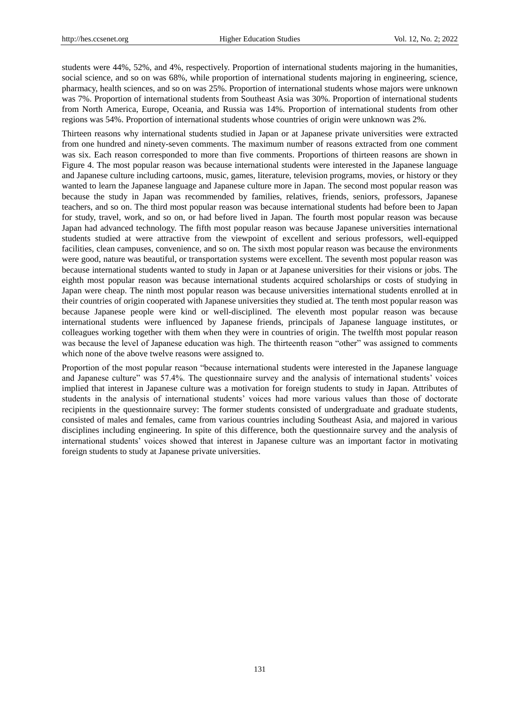students were 44%, 52%, and 4%, respectively. Proportion of international students majoring in the humanities, social science, and so on was 68%, while proportion of international students majoring in engineering, science, pharmacy, health sciences, and so on was 25%. Proportion of international students whose majors were unknown was 7%. Proportion of international students from Southeast Asia was 30%. Proportion of international students from North America, Europe, Oceania, and Russia was 14%. Proportion of international students from other regions was 54%. Proportion of international students whose countries of origin were unknown was 2%.

Thirteen reasons why international students studied in Japan or at Japanese private universities were extracted from one hundred and ninety-seven comments. The maximum number of reasons extracted from one comment was six. Each reason corresponded to more than five comments. Proportions of thirteen reasons are shown in Figure 4. The most popular reason was because international students were interested in the Japanese language and Japanese culture including cartoons, music, games, literature, television programs, movies, or history or they wanted to learn the Japanese language and Japanese culture more in Japan. The second most popular reason was because the study in Japan was recommended by families, relatives, friends, seniors, professors, Japanese teachers, and so on. The third most popular reason was because international students had before been to Japan for study, travel, work, and so on, or had before lived in Japan. The fourth most popular reason was because Japan had advanced technology. The fifth most popular reason was because Japanese universities international students studied at were attractive from the viewpoint of excellent and serious professors, well-equipped facilities, clean campuses, convenience, and so on. The sixth most popular reason was because the environments were good, nature was beautiful, or transportation systems were excellent. The seventh most popular reason was because international students wanted to study in Japan or at Japanese universities for their visions or jobs. The eighth most popular reason was because international students acquired scholarships or costs of studying in Japan were cheap. The ninth most popular reason was because universities international students enrolled at in their countries of origin cooperated with Japanese universities they studied at. The tenth most popular reason was because Japanese people were kind or well-disciplined. The eleventh most popular reason was because international students were influenced by Japanese friends, principals of Japanese language institutes, or colleagues working together with them when they were in countries of origin. The twelfth most popular reason was because the level of Japanese education was high. The thirteenth reason "other" was assigned to comments which none of the above twelve reasons were assigned to.

Proportion of the most popular reason "because international students were interested in the Japanese language and Japanese culture" was 57.4%. The questionnaire survey and the analysis of international students' voices implied that interest in Japanese culture was a motivation for foreign students to study in Japan. Attributes of students in the analysis of international students' voices had more various values than those of doctorate recipients in the questionnaire survey: The former students consisted of undergraduate and graduate students, consisted of males and females, came from various countries including Southeast Asia, and majored in various disciplines including engineering. In spite of this difference, both the questionnaire survey and the analysis of international students' voices showed that interest in Japanese culture was an important factor in motivating foreign students to study at Japanese private universities.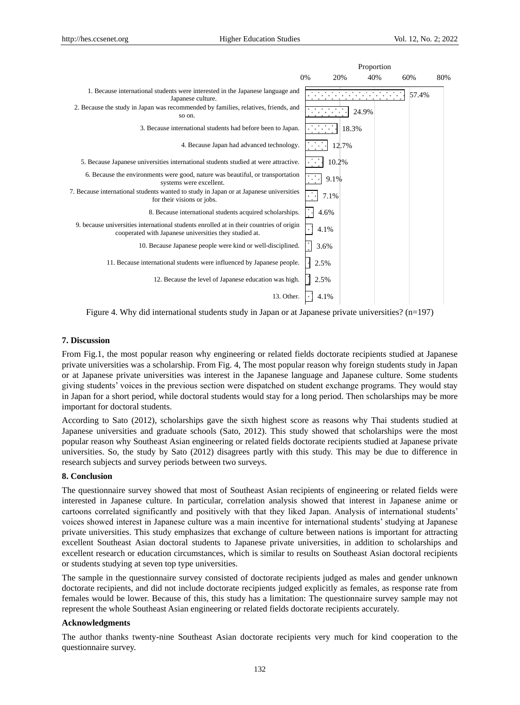|                                                                                                                                                                                                                                                                                                                                                                                                                                                                                                                                                                                                                                                                                                                                                                                                                                                                              |    |       |       | Proportion |     |       |     |
|------------------------------------------------------------------------------------------------------------------------------------------------------------------------------------------------------------------------------------------------------------------------------------------------------------------------------------------------------------------------------------------------------------------------------------------------------------------------------------------------------------------------------------------------------------------------------------------------------------------------------------------------------------------------------------------------------------------------------------------------------------------------------------------------------------------------------------------------------------------------------|----|-------|-------|------------|-----|-------|-----|
|                                                                                                                                                                                                                                                                                                                                                                                                                                                                                                                                                                                                                                                                                                                                                                                                                                                                              | 0% | 20%   |       | 40%        | 60% |       | 80% |
| 1. Because international students were interested in the Japanese language and<br>Japanese culture.                                                                                                                                                                                                                                                                                                                                                                                                                                                                                                                                                                                                                                                                                                                                                                          |    |       |       |            |     | 57.4% |     |
| 2. Because the study in Japan was recommended by families, relatives, friends, and<br>so on.                                                                                                                                                                                                                                                                                                                                                                                                                                                                                                                                                                                                                                                                                                                                                                                 |    |       |       | 24.9%      |     |       |     |
| 3. Because international students had before been to Japan.                                                                                                                                                                                                                                                                                                                                                                                                                                                                                                                                                                                                                                                                                                                                                                                                                  |    |       | 18.3% |            |     |       |     |
| 4. Because Japan had advanced technology.                                                                                                                                                                                                                                                                                                                                                                                                                                                                                                                                                                                                                                                                                                                                                                                                                                    |    |       | 12.7% |            |     |       |     |
| 5. Because Japanese universities international students studied at were attractive.                                                                                                                                                                                                                                                                                                                                                                                                                                                                                                                                                                                                                                                                                                                                                                                          |    | 10.2% |       |            |     |       |     |
| 6. Because the environments were good, nature was beautiful, or transportation<br>systems were excellent.                                                                                                                                                                                                                                                                                                                                                                                                                                                                                                                                                                                                                                                                                                                                                                    |    | 9.1%  |       |            |     |       |     |
| 7. Because international students wanted to study in Japan or at Japanese universities<br>for their visions or jobs.                                                                                                                                                                                                                                                                                                                                                                                                                                                                                                                                                                                                                                                                                                                                                         |    | 7.1%  |       |            |     |       |     |
| 8. Because international students acquired scholarships.                                                                                                                                                                                                                                                                                                                                                                                                                                                                                                                                                                                                                                                                                                                                                                                                                     |    | 4.6%  |       |            |     |       |     |
| 9. because universities international students enrolled at in their countries of origin<br>cooperated with Japanese universities they studied at.                                                                                                                                                                                                                                                                                                                                                                                                                                                                                                                                                                                                                                                                                                                            |    | 4.1%  |       |            |     |       |     |
| 10. Because Japanese people were kind or well-disciplined.                                                                                                                                                                                                                                                                                                                                                                                                                                                                                                                                                                                                                                                                                                                                                                                                                   |    | 3.6%  |       |            |     |       |     |
| 11. Because international students were influenced by Japanese people.                                                                                                                                                                                                                                                                                                                                                                                                                                                                                                                                                                                                                                                                                                                                                                                                       |    | 2.5%  |       |            |     |       |     |
| 12. Because the level of Japanese education was high.                                                                                                                                                                                                                                                                                                                                                                                                                                                                                                                                                                                                                                                                                                                                                                                                                        |    | 2.5%  |       |            |     |       |     |
| 13. Other.                                                                                                                                                                                                                                                                                                                                                                                                                                                                                                                                                                                                                                                                                                                                                                                                                                                                   |    | 4.1%  |       |            |     |       |     |
| Figure 4. Why did international students study in Japan or at Japanese private universities? $(n=197)$                                                                                                                                                                                                                                                                                                                                                                                                                                                                                                                                                                                                                                                                                                                                                                       |    |       |       |            |     |       |     |
|                                                                                                                                                                                                                                                                                                                                                                                                                                                                                                                                                                                                                                                                                                                                                                                                                                                                              |    |       |       |            |     |       |     |
| 7. Discussion                                                                                                                                                                                                                                                                                                                                                                                                                                                                                                                                                                                                                                                                                                                                                                                                                                                                |    |       |       |            |     |       |     |
| From Fig.1, the most popular reason why engineering or related fields doctorate recipients studied at Japane<br>private universities was a scholarship. From Fig. 4, The most popular reason why foreign students study in Japa<br>or at Japanese private universities was interest in the Japanese language and Japanese culture. Some studen<br>giving students' voices in the previous section were dispatched on student exchange programs. They would sta<br>in Japan for a short period, while doctoral students would stay for a long period. Then scholarships may be mo<br>important for doctoral students.                                                                                                                                                                                                                                                         |    |       |       |            |     |       |     |
| According to Sato (2012), scholarships gave the sixth highest score as reasons why Thai students studied<br>Japanese universities and graduate schools (Sato, 2012). This study showed that scholarships were the mo<br>popular reason why Southeast Asian engineering or related fields doctorate recipients studied at Japanese priva<br>universities. So, the study by Sato (2012) disagrees partly with this study. This may be due to difference<br>research subjects and survey periods between two surveys.                                                                                                                                                                                                                                                                                                                                                           |    |       |       |            |     |       |     |
| 8. Conclusion                                                                                                                                                                                                                                                                                                                                                                                                                                                                                                                                                                                                                                                                                                                                                                                                                                                                |    |       |       |            |     |       |     |
| The questionnaire survey showed that most of Southeast Asian recipients of engineering or related fields we<br>interested in Japanese culture. In particular, correlation analysis showed that interest in Japanese anime<br>cartoons correlated significantly and positively with that they liked Japan. Analysis of international student<br>voices showed interest in Japanese culture was a main incentive for international students' studying at Japane<br>private universities. This study emphasizes that exchange of culture between nations is important for attractin<br>excellent Southeast Asian doctoral students to Japanese private universities, in addition to scholarships are<br>excellent research or education circumstances, which is similar to results on Southeast Asian doctoral recipien<br>or students studying at seven top type universities. |    |       |       |            |     |       |     |
| The sample in the questionnaire survey consisted of doctorate recipients judged as males and gender unknow<br>doctorate recipients, and did not include doctorate recipients judged explicitly as females, as response rate fro<br>females would be lower. Because of this, this study has a limitation: The questionnaire survey sample may n<br>represent the whole Southeast Asian engineering or related fields doctorate recipients accurately.                                                                                                                                                                                                                                                                                                                                                                                                                         |    |       |       |            |     |       |     |
| <b>Acknowledgments</b>                                                                                                                                                                                                                                                                                                                                                                                                                                                                                                                                                                                                                                                                                                                                                                                                                                                       |    |       |       |            |     |       |     |
| The author thanks twenty-nine Southeast Asian doctorate recipients very much for kind cooperation to the<br>questionnaire survey.                                                                                                                                                                                                                                                                                                                                                                                                                                                                                                                                                                                                                                                                                                                                            |    |       |       |            |     |       |     |

Figure 4. Why did international students study in Japan or at Japanese private universities? (n=197)

## **7. Discussion**

# **8. Conclusion**

## **Acknowledgments**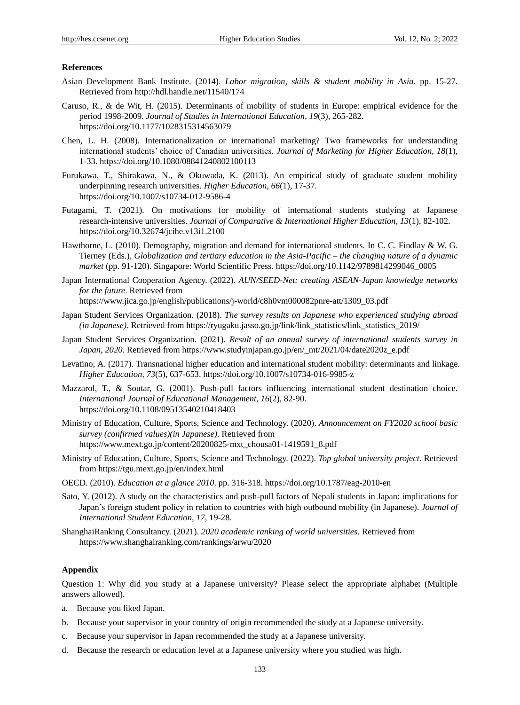### **References**

- Asian Development Bank Institute. (2014). *Labor migration, skills & student mobility in Asia.* pp. 15-27. Retrieved from http://hdl.handle.net/11540/174
- Caruso, R., & de Wit, H. (2015). Determinants of mobility of students in Europe: empirical evidence for the period 1998-2009. *Journal of Studies in International Education, 19*(3), 265-282. https://doi.org/10.1177/1028315314563079
- Chen, L. H. (2008). Internationalization or international marketing? Two frameworks for understanding international students' choice of Canadian universities. *Journal of Marketing for Higher Education, 18*(1), 1-33. https://doi.org/10.1080/08841240802100113
- Furukawa, T., Shirakawa, N., & Okuwada, K. (2013). An empirical study of graduate student mobility underpinning research universities. *Higher Education, 66*(1), 17-37. https://doi.org/10.1007/s10734-012-9586-4
- Futagami, T. (2021). On motivations for mobility of international students studying at Japanese research-intensive universities. *Journal of Comparative & International Higher Education, 13*(1), 82-102. https://doi.org/10.32674/jcihe.v13i1.2100
- Hawthorne, L. (2010). Demography, migration and demand for international students. In C. C. Findlay & W. G. Tierney (Eds.), *Globalization and tertiary education in the Asia-Pacific – the changing nature of a dynamic market* (pp. 91-120). Singapore: World Scientific Press. https://doi.org/10.1142/9789814299046\_0005
- Japan International Cooperation Agency. (2022). *AUN/SEED-Net: creating ASEAN-Japan knowledge networks for the future*. Retrieved from

https://www.jica.go.jp/english/publications/j-world/c8h0vm000082pnre-att/1309\_03.pdf

- Japan Student Services Organization. (2018). *The survey results on Japanese who experienced studying abroad (in Japanese)*. Retrieved from https://ryugaku.jasso.go.jp/link/link\_statistics/link\_statistics\_2019/
- Japan Student Services Organization. (2021). *Result of an annual survey of international students survey in Japan, 2020*. Retrieved from https://www.studyinjapan.go.jp/en/\_mt/2021/04/date2020z\_e.pdf
- Levatino, A. (2017). Transnational higher education and international student mobility: determinants and linkage. *Higher Education, 73*(5), 637-653. https://doi.org/10.1007/s10734-016-9985-z
- Mazzarol, T., & Soutar, G. (2001). Push-pull factors influencing international student destination choice. *International Journal of Educational Management, 16*(2), 82-90. https://doi.org/10.1108/09513540210418403
- Ministry of Education, Culture, Sports, Science and Technology. (2020). *Announcement on FY2020 school basic survey (confirmed values)(in Japanese)*. Retrieved from https://www.mext.go.jp/content/20200825-mxt\_chousa01-1419591\_8.pdf
- Ministry of Education, Culture, Sports, Science and Technology. (2022). *Top global university project*. Retrieved from https://tgu.mext.go.jp/en/index.html
- OECD. (2010). *Education at a glance 2010*. pp. 316-318. https://doi.org/10.1787/eag-2010-en
- Sato, Y. (2012). A study on the characteristics and push-pull factors of Nepali students in Japan: implications for Japan's foreign student policy in relation to countries with high outbound mobility (in Japanese). *Journal of International Student Education, 17*, 19-28.

ShanghaiRanking Consultancy. (2021). *2020 academic ranking of world universities*. Retrieved from https://www.shanghairanking.com/rankings/arwu/2020

## **Appendix**

Question 1: Why did you study at a Japanese university? Please select the appropriate alphabet (Multiple answers allowed).

- a. Because you liked Japan.
- b. Because your supervisor in your country of origin recommended the study at a Japanese university.
- c. Because your supervisor in Japan recommended the study at a Japanese university.
- d. Because the research or education level at a Japanese university where you studied was high.